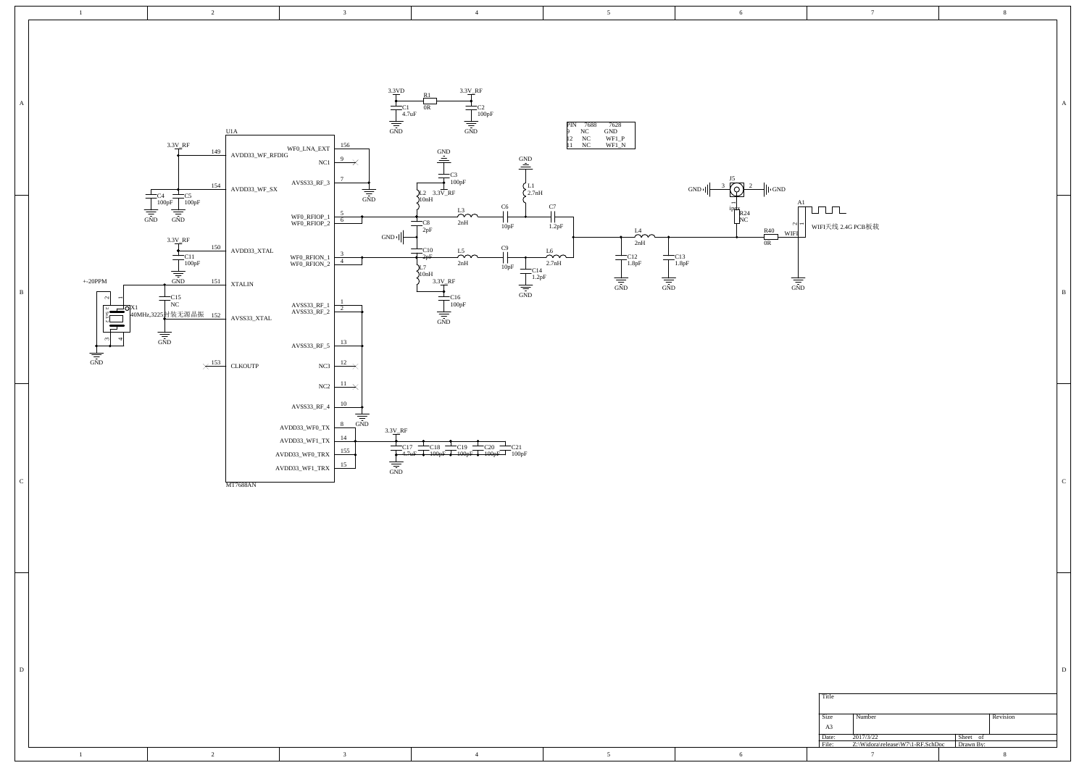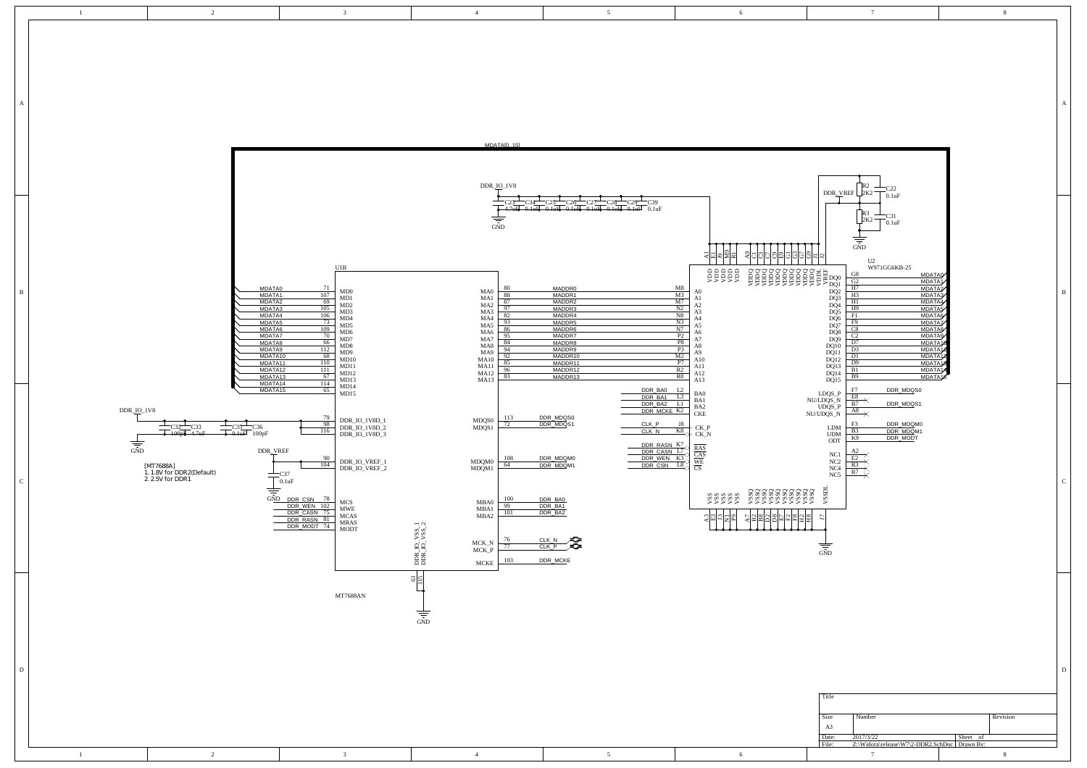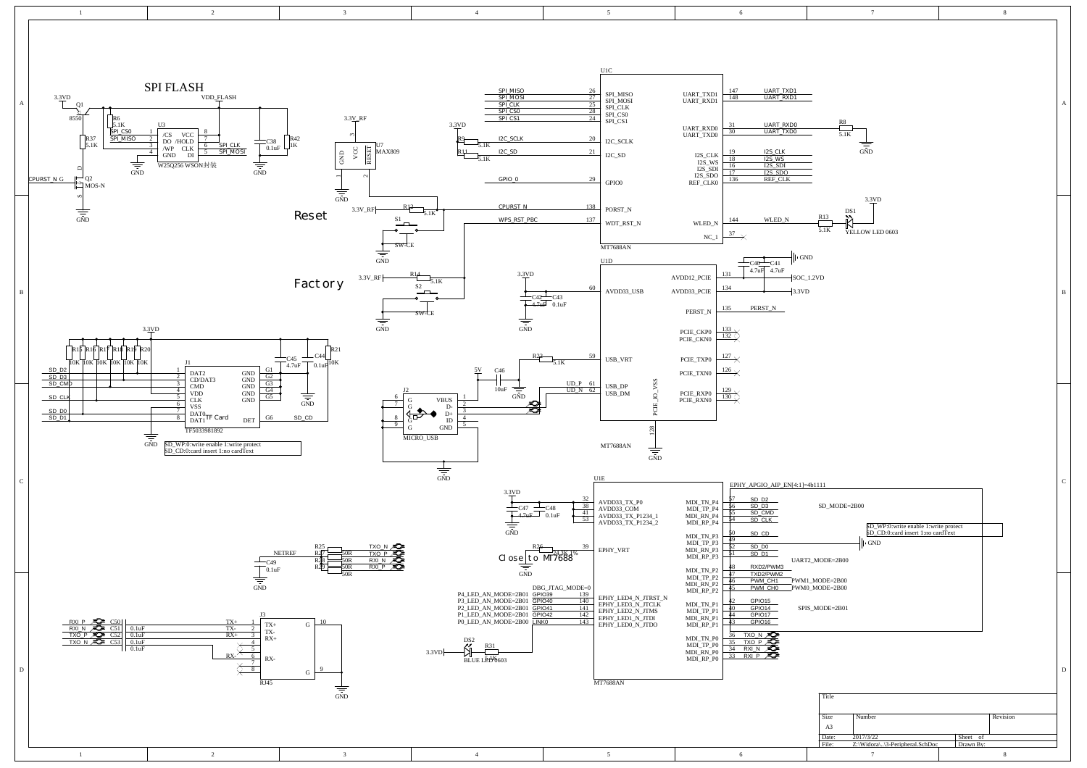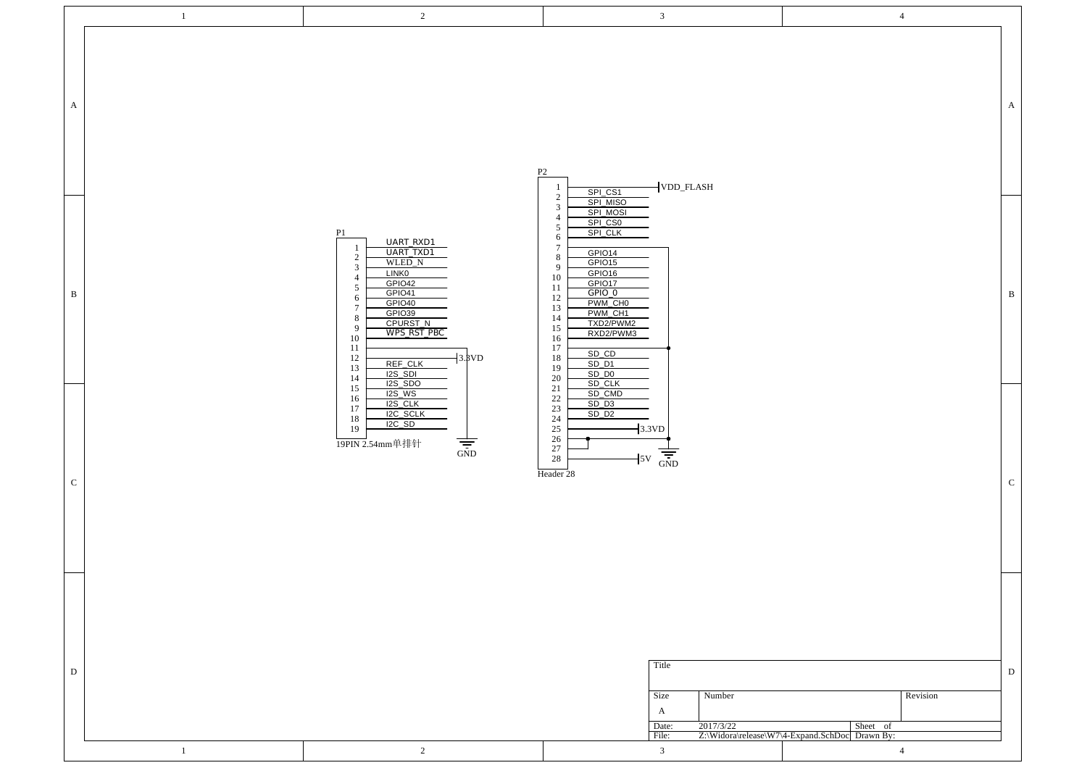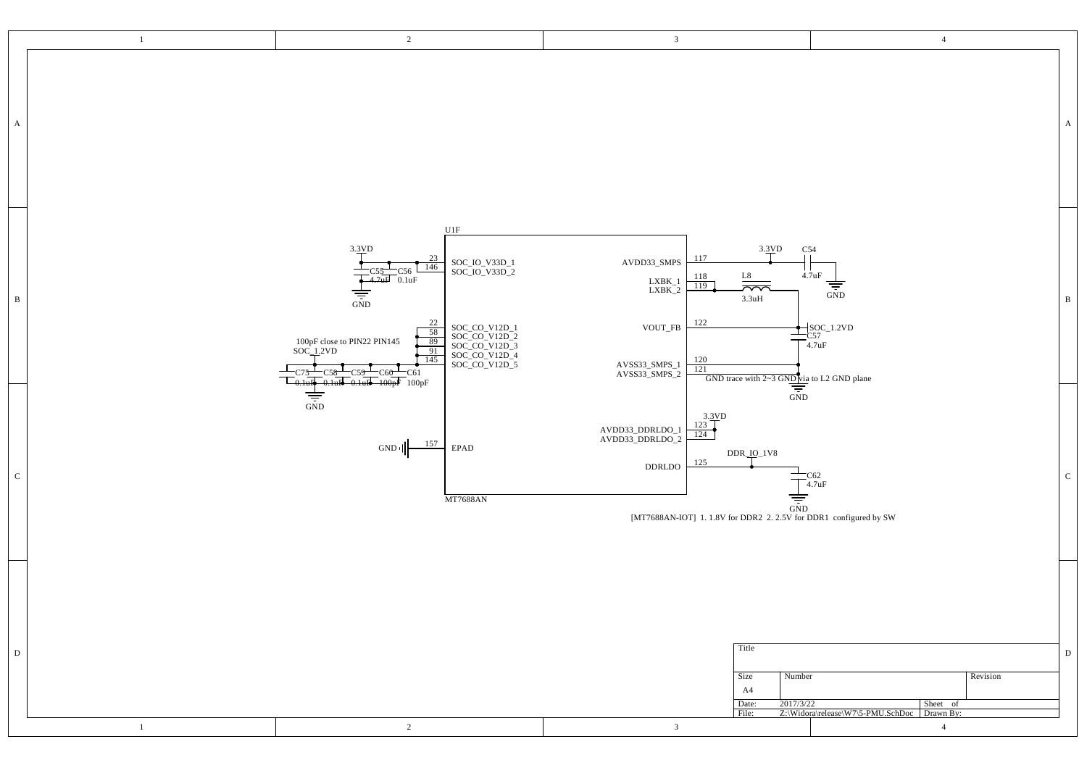| $\,1\,$           | $\overline{2}$                                                                                                                                                                                                                                                                                                                                                      | $\mathbf{3}$                                                                                                                                                                                                                                                                                                             | $\overline{4}$                                                                                                                                        |              |
|-------------------|---------------------------------------------------------------------------------------------------------------------------------------------------------------------------------------------------------------------------------------------------------------------------------------------------------------------------------------------------------------------|--------------------------------------------------------------------------------------------------------------------------------------------------------------------------------------------------------------------------------------------------------------------------------------------------------------------------|-------------------------------------------------------------------------------------------------------------------------------------------------------|--------------|
| $\mathbf{A}$      |                                                                                                                                                                                                                                                                                                                                                                     |                                                                                                                                                                                                                                                                                                                          |                                                                                                                                                       | $\mathbf{A}$ |
| $\mathbf{B}$      | U1F<br>3.3VD<br>23<br>SOC_IO_V33D_1<br>SOC_IO_V33D_2<br>146<br>C56<br>0.1uF<br>4.7 <sub>u</sub><br>$\frac{1}{\frac{1}{\sin D}}$<br>22<br>SOC_CO_V12D_1<br>SOC_CO_V12D_2<br>SOC_CO_V12D_3<br>SOC_CO_V12D_4<br>SOC_CO_V12D_5<br>$\frac{58}{89}$<br>100pF close to PIN22 PIN145<br>SOC_1.2VD<br>$\overline{91}$<br>145<br>C61:<br>$-0.1uE - 100pF$ 100pF<br>$-0.1$ u R | 3.3VD<br>117<br>AVDD33_SMPS<br>L8<br>118<br>$\begin{array}{c} \text{LXBK\_1} \\ \text{LXBK\_2} \end{array}$<br>119<br>$\overline{\sim}$<br>$3.3uH$<br>122<br>$\texttt{VOUT\_FB}$<br>$\frac{120}{121}$<br>AVSS33_SMPS_1<br>AVSS33_SMPS_2                                                                                  | C54<br>$\mathbf{L}$<br>4.7uF<br>$\frac{1}{\frac{1}{\sin D}}$<br>$\frac{\bigcirc}{\bigcirc} \frac{\text{SOC}_1}{\text{G57}} \text{SOC}_2 \text{1.2VD}$ | $\, {\bf B}$ |
| $\mathbf C$       | $\frac{1}{\sqrt{2}}$<br>157<br>$\ensuremath{\mathrm{EPAD}}$<br>$GND$ <sup><math> </math></sup><br><b>MT7688AN</b>                                                                                                                                                                                                                                                   | $\frac{12}{\text{GND \ trace with } 2-3 \text{ GND }\frac{\text{Diag}}{\text{GND}}$ to L2 GND plane<br>$\frac{3.3VD}{123}$<br>AVDD33_DDRLDO_1<br>AVDD33_DDRLDO_2<br>124<br>$DDR\_IO$ <sub>-1</sub> V8<br>125<br>DDRLDO<br>$\frac{1}{\frac{1}{1.500}}$<br>[MT7688AN-IOT] 1.1.8V for DDR2 2.2.5V for DDR1 configured by SW | $T_{4.7uF}^{CG2}$                                                                                                                                     | $\mathbf C$  |
| D<br>$\mathbf{1}$ | 2                                                                                                                                                                                                                                                                                                                                                                   | Title<br>Size<br>Number<br>A4<br>2017/3/22<br>Date:<br>File:<br>$\overline{\mathbf{3}}$                                                                                                                                                                                                                                  | Revision<br>Sheet of<br>Z:\Widora\release\W7\5-PMU.SchDoc Drawn By:<br>$\overline{4}$                                                                 | ${\bf D}$    |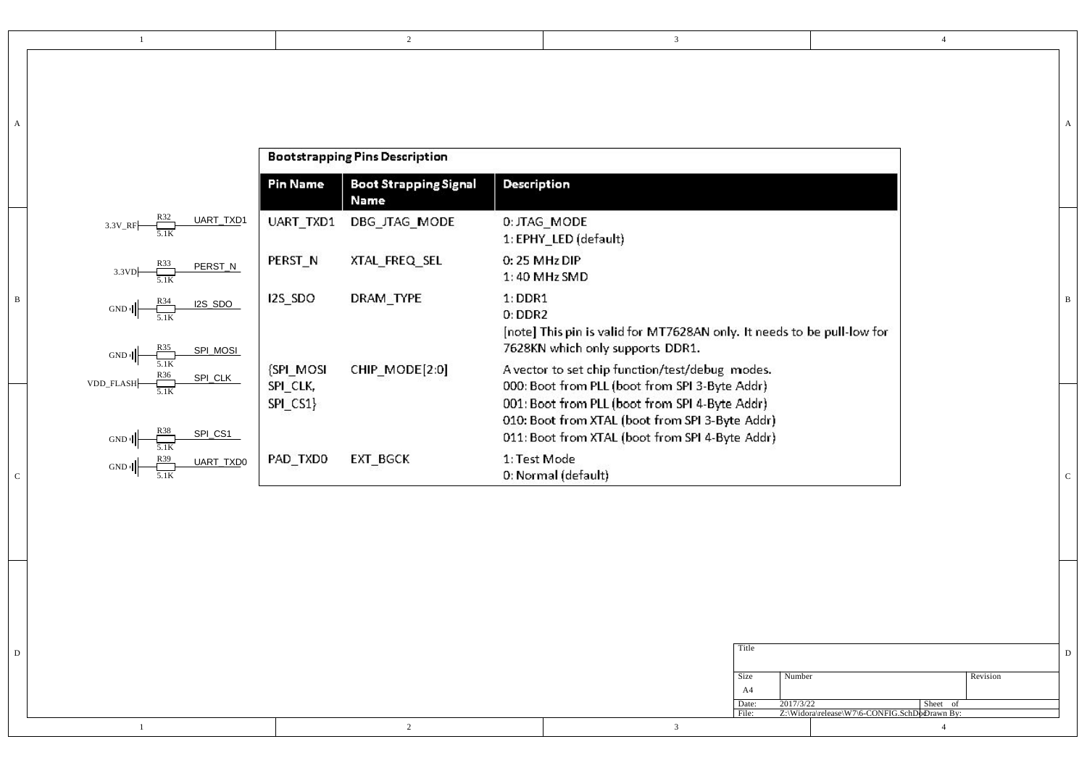|                                             |                                       |                                      |                                                                                                                                                                                                        | A |
|---------------------------------------------|---------------------------------------|--------------------------------------|--------------------------------------------------------------------------------------------------------------------------------------------------------------------------------------------------------|---|
|                                             | <b>Bootstrapping Pins Description</b> |                                      |                                                                                                                                                                                                        |   |
|                                             | <b>Pin Name</b>                       | <b>Boot Strapping Signal</b><br>Name | <b>Description</b>                                                                                                                                                                                     |   |
| UART_TXD1<br>$3.3V$ RF                      | UART TXD1                             | DBG_JTAG_MODE                        | 0: JTAG_MODE<br>1: EPHY_LED (default)                                                                                                                                                                  |   |
| PERST_N<br>3.3VD                            | PERST_N                               | XTAL_FREQ_SEL                        | 0:25 MHz DIP<br>1:40 MHz SMD                                                                                                                                                                           |   |
| I2S_SDO<br>GND<br>SPI_MOSI                  | I2S_SDO                               | DRAM_TYPE                            | $1:$ DDR1<br>$0:$ DDR2<br>[note] This pin is valid for MT7628AN only. It needs to be pull-low for<br>7628KN which only supports DDR1.                                                                  |   |
| $GND \parallel$<br>SPI_CLK                  | <b>SPI MOSI</b>                       | CHIP_MODE[2:0]                       | A vector to set chip function/test/debug modes.                                                                                                                                                        |   |
| VDD_FLASH-<br>SPI_CS1<br>$GND$ <sup>1</sup> | SPI_CLK,<br>SPI_CS1}                  |                                      | 000: Boot from PLL (boot from SPI 3-Byte Addr)<br>001: Boot from PLL (boot from SPI 4-Byte Addr)<br>010: Boot from XTAL (boot from SPI 3-Byte Addr)<br>011: Boot from XTAL (boot from SPI 4-Byte Addr) |   |
| UART_TXD0                                   | PAD_TXD0                              | EXT_BGCK                             | 1: Test Mode<br>0: Normal (default)                                                                                                                                                                    |   |

2

1

|  |  | Title      |                                                                          |          |  |
|--|--|------------|--------------------------------------------------------------------------|----------|--|
|  |  | Size<br>A4 | Number                                                                   | Revision |  |
|  |  | Date:      | 2017/3/22<br>Sheet<br>File: Z:\Widora\release\W7\6-CONFIG.SchDoDrawn By: |          |  |
|  |  |            |                                                                          |          |  |

3

4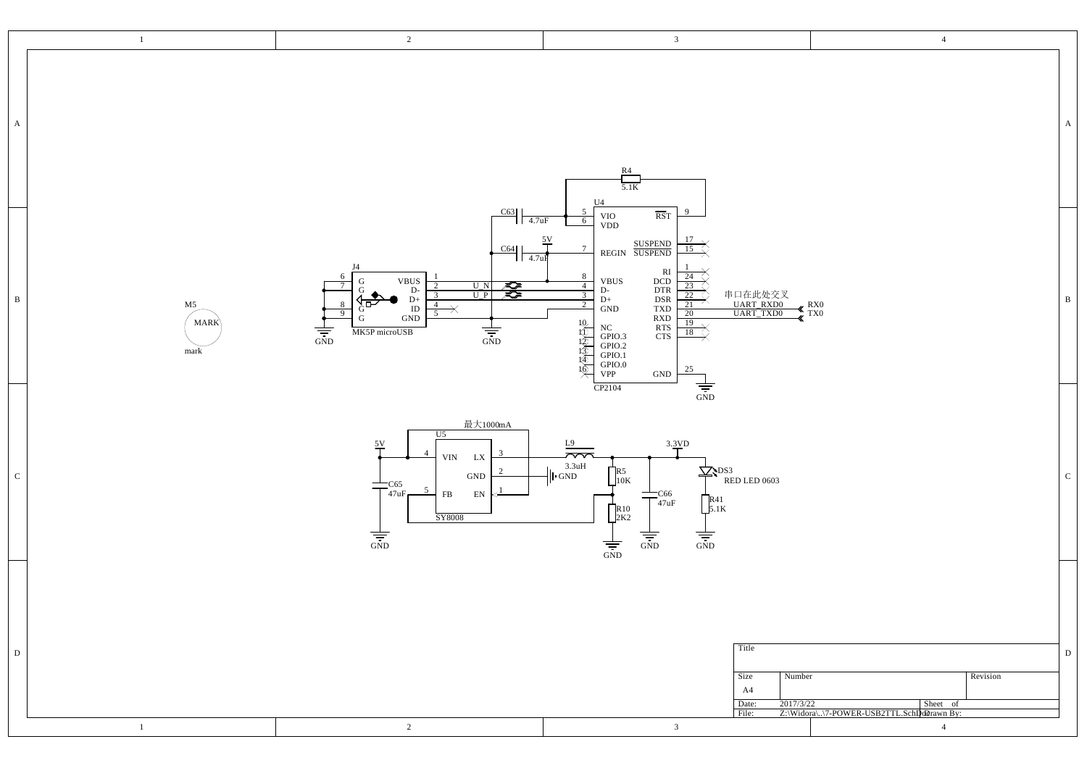|              | $\mathbf{1}$              | $\overline{2}$                                                                                                                                                                                                                                                                                                                                                                                                                                                                                                  | $\mathbf{3}$                                                                                                                                                                                                                                                                                                                                                                                                                                                                                                                                          | $\overline{4}$                                                                       |              |
|--------------|---------------------------|-----------------------------------------------------------------------------------------------------------------------------------------------------------------------------------------------------------------------------------------------------------------------------------------------------------------------------------------------------------------------------------------------------------------------------------------------------------------------------------------------------------------|-------------------------------------------------------------------------------------------------------------------------------------------------------------------------------------------------------------------------------------------------------------------------------------------------------------------------------------------------------------------------------------------------------------------------------------------------------------------------------------------------------------------------------------------------------|--------------------------------------------------------------------------------------|--------------|
| $\mathbf{A}$ |                           |                                                                                                                                                                                                                                                                                                                                                                                                                                                                                                                 | $rac{R4}{5.1K}$<br>$\,$ U4 $\,$                                                                                                                                                                                                                                                                                                                                                                                                                                                                                                                       |                                                                                      | $\mathbf{A}$ |
| $\, {\bf B}$ | M5<br><b>MARK</b><br>mark | C63<br>$1\sqrt{4.7}$ uF<br>$\frac{5V}{l}$<br>$\frac{\text{C64}}{4.7 \text{u} \cdot \text{F}}$<br>J4<br>$\begin{tabular}{c} VBUS \\ D- \\ D+ \\ ID \\ GND \end{tabular}$<br>G<br>$\begin{tabular}{ c c c } \hline U & N & $\mathcal{R}$ \\ \hline \hline U & P & $\mathcal{R}$ \\ \hline \end{tabular}$<br>$\overline{7}$<br>2<br>G<br>$\overline{3}$<br>$\frac{4}{5}$<br>8<br>. он<br>$\overline{\mathcal{X}}$<br>$\overline{9}$<br>${\bf G}$<br>$\frac{1}{\sqrt{25}}$<br>$\frac{1}{\sqrt{2}}$<br>MK5P microUSB | $\overline{\phantom{0}}$<br>$\overline{\text{RST}}$<br>VIO<br>VDD<br>$6\overline{6}$<br>$\frac{17}{15}$<br>REGIN SUSPEND<br>7<br>RI<br>DCD<br>DTR<br>DSR<br>TXD<br>RTS<br>RTS<br>CTS<br>8<br>24<br>$_{\rm D\text{-}}^{\rm VBUS}$<br>$\frac{4}{3}$<br>$\overline{23}$<br>串口在此处交叉<br>UART_RXD0<br>UART_TXD0<br>$\frac{22}{ }$<br>$\mathrm{D}+$<br>21<br>$\operatorname{GND}$<br>20<br>高速度原布<br>$19\sqrt{ }$<br>NC<br>GPIO.3<br>GPIO.2<br>GPIO.0<br>VPP<br>$\overrightarrow{18}$<br>25<br>$\operatorname{GND}$<br>$\frac{1}{\frac{1}{\sin D}}$<br>CP2104 | $\frac{R}{X}$ TX <sub>0</sub>                                                        | $\, {\bf B}$ |
| ${\bf C}$    |                           | 最大1000mA<br>U5<br>$\frac{5V}{4}$<br>-3<br>${\rm VIN}$ $\quad$ LX<br>$\operatorname{GND}$<br>$\frac{1205}{47}$ uF<br>–<br>$\overline{5}$<br>$_{\rm FB}$<br>$\mathbf{EN}$<br>SY8008<br>$\frac{1}{\frac{1}{\sin D}}$                                                                                                                                                                                                                                                                                               | 3.3VD<br>L9<br>$\overline{\sim}$<br>$3.3uH$<br>$\bigcup$ GND<br>$\sum$ sps3<br>$R_1$ <sub>10K</sub><br>RED LED 0603<br>$+$ C66<br>$+$ <sub>47uF</sub><br>$R_{5.1K}^{R41}$<br>$\prod_{2K2}^{R10}$<br>$\frac{1}{\sin D}$<br>$\frac{1}{\sin D}$<br>$\frac{1}{\frac{1}{\sin D}}$                                                                                                                                                                                                                                                                          |                                                                                      | ${\bf C}$    |
| D            | $\mathbf{1}$              | 2                                                                                                                                                                                                                                                                                                                                                                                                                                                                                                               | Title<br>Number<br>Size<br>A4<br>2017/3/22<br>Date:<br>File:<br>$\mathbf{3}$                                                                                                                                                                                                                                                                                                                                                                                                                                                                          | Revision<br>Sheet of<br>Z:\Widora\\7-POWER-USB2TTL.Schlpdorawn By:<br>$\overline{4}$ | D            |